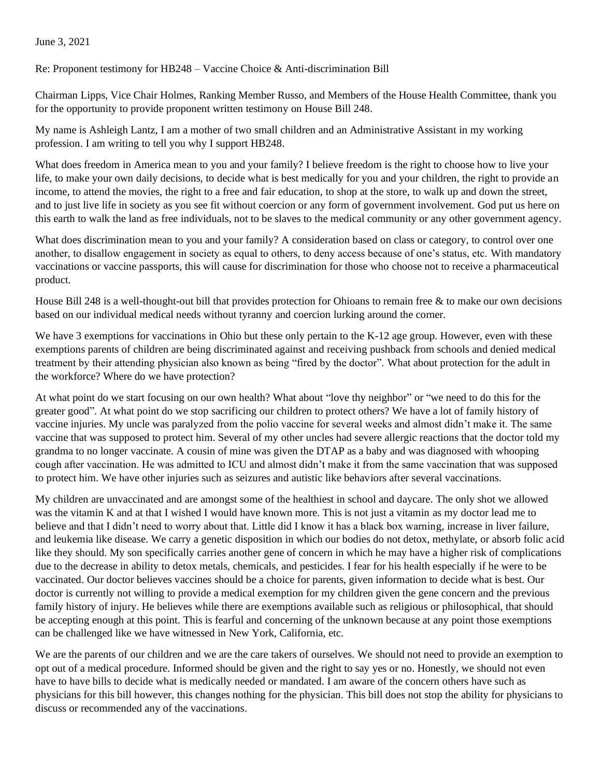## June 3, 2021

Re: Proponent testimony for HB248 – Vaccine Choice & Anti-discrimination Bill

Chairman Lipps, Vice Chair Holmes, Ranking Member Russo, and Members of the House Health Committee, thank you for the opportunity to provide proponent written testimony on House Bill 248.

My name is Ashleigh Lantz, I am a mother of two small children and an Administrative Assistant in my working profession. I am writing to tell you why I support HB248.

What does freedom in America mean to you and your family? I believe freedom is the right to choose how to live your life, to make your own daily decisions, to decide what is best medically for you and your children, the right to provide an income, to attend the movies, the right to a free and fair education, to shop at the store, to walk up and down the street, and to just live life in society as you see fit without coercion or any form of government involvement. God put us here on this earth to walk the land as free individuals, not to be slaves to the medical community or any other government agency.

What does discrimination mean to you and your family? A consideration based on class or category, to control over one another, to disallow engagement in society as equal to others, to deny access because of one's status, etc. With mandatory vaccinations or vaccine passports, this will cause for discrimination for those who choose not to receive a pharmaceutical product.

House Bill 248 is a well-thought-out bill that provides protection for Ohioans to remain free & to make our own decisions based on our individual medical needs without tyranny and coercion lurking around the corner.

We have 3 exemptions for vaccinations in Ohio but these only pertain to the K-12 age group. However, even with these exemptions parents of children are being discriminated against and receiving pushback from schools and denied medical treatment by their attending physician also known as being "fired by the doctor". What about protection for the adult in the workforce? Where do we have protection?

At what point do we start focusing on our own health? What about "love thy neighbor" or "we need to do this for the greater good". At what point do we stop sacrificing our children to protect others? We have a lot of family history of vaccine injuries. My uncle was paralyzed from the polio vaccine for several weeks and almost didn't make it. The same vaccine that was supposed to protect him. Several of my other uncles had severe allergic reactions that the doctor told my grandma to no longer vaccinate. A cousin of mine was given the DTAP as a baby and was diagnosed with whooping cough after vaccination. He was admitted to ICU and almost didn't make it from the same vaccination that was supposed to protect him. We have other injuries such as seizures and autistic like behaviors after several vaccinations.

My children are unvaccinated and are amongst some of the healthiest in school and daycare. The only shot we allowed was the vitamin K and at that I wished I would have known more. This is not just a vitamin as my doctor lead me to believe and that I didn't need to worry about that. Little did I know it has a black box warning, increase in liver failure, and leukemia like disease. We carry a genetic disposition in which our bodies do not detox, methylate, or absorb folic acid like they should. My son specifically carries another gene of concern in which he may have a higher risk of complications due to the decrease in ability to detox metals, chemicals, and pesticides. I fear for his health especially if he were to be vaccinated. Our doctor believes vaccines should be a choice for parents, given information to decide what is best. Our doctor is currently not willing to provide a medical exemption for my children given the gene concern and the previous family history of injury. He believes while there are exemptions available such as religious or philosophical, that should be accepting enough at this point. This is fearful and concerning of the unknown because at any point those exemptions can be challenged like we have witnessed in New York, California, etc.

We are the parents of our children and we are the care takers of ourselves. We should not need to provide an exemption to opt out of a medical procedure. Informed should be given and the right to say yes or no. Honestly, we should not even have to have bills to decide what is medically needed or mandated. I am aware of the concern others have such as physicians for this bill however, this changes nothing for the physician. This bill does not stop the ability for physicians to discuss or recommended any of the vaccinations.